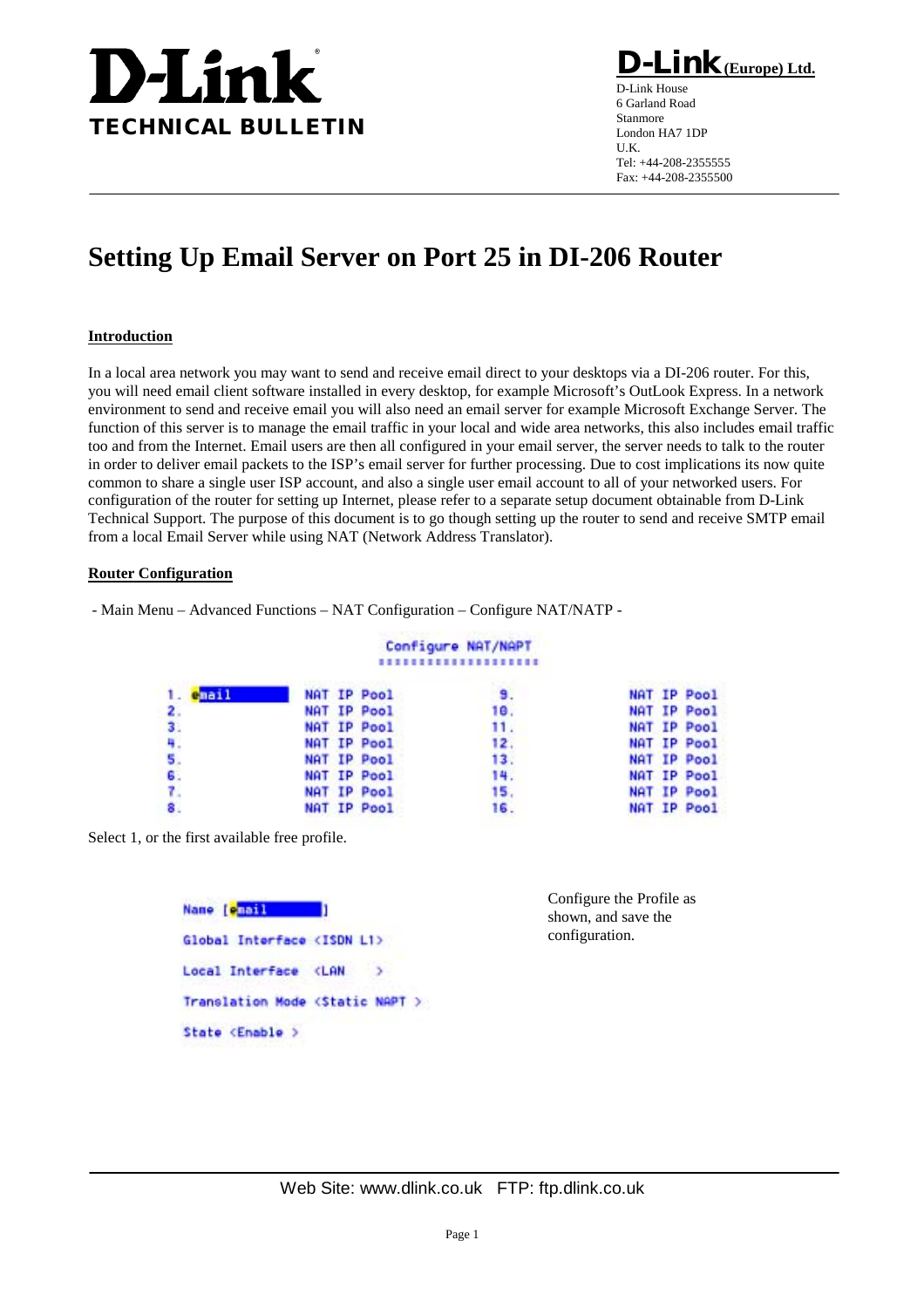

**D-Link(Europe) Ltd.**

D-Link House 6 Garland Road Stanmore London HA7 1DP U.K. Tel: +44-208-2355555 Fax: +44-208-2355500

## **Setting Up Email Server on Port 25 in DI-206 Router**

## **Introduction**

In a local area network you may want to send and receive email direct to your desktops via a DI-206 router. For this, you will need email client software installed in every desktop, for example Microsoft's OutLook Express. In a network environment to send and receive email you will also need an email server for example Microsoft Exchange Server. The function of this server is to manage the email traffic in your local and wide area networks, this also includes email traffic too and from the Internet. Email users are then all configured in your email server, the server needs to talk to the router in order to deliver email packets to the ISP's email server for further processing. Due to cost implications its now quite common to share a single user ISP account, and also a single user email account to all of your networked users. For configuration of the router for setting up Internet, please refer to a separate setup document obtainable from D-Link Technical Support. The purpose of this document is to go though setting up the router to send and receive SMTP email from a local Email Server while using NAT (Network Address Translator).

## **Router Configuration**

- Main Menu – Advanced Functions – NAT Configuration – Configure NAT/NATP -

## Configure NAT/NAPT ,,,,,,,,,,,,,,,,,,,,

| $1.$ email   | NAT IP Pool | 9.  | NAT IP Pool |
|--------------|-------------|-----|-------------|
| 2.           | NAT IP Pool | 10. | NAT IP Pool |
| 3.           | NAT IP Pool | 11. | NAT IP Pool |
| 41           | NAT IP Pool | 12. | NAT IP Pool |
| 5.           | NAT IP Pool | 13. | NAT IP Pool |
| 6.           | NAT IP Pool | 14. | NAT IP Pool |
| $\mathbf{r}$ | NAT IP Pool | 15. | NAT IP Pool |
|              | NAT IP Pool | 16. | NAT IP Pool |
|              |             |     |             |

Select 1, or the first available free profile.

| Name [e <mark>mail</mark>                    |  |
|----------------------------------------------|--|
| Global Interface <isdn l1=""></isdn>         |  |
| Local Interface <lan< td=""><td></td></lan<> |  |
| Translation Mode (Static NAPT )              |  |
| State <enable></enable>                      |  |

Configure the Profile as shown, and save the configuration.